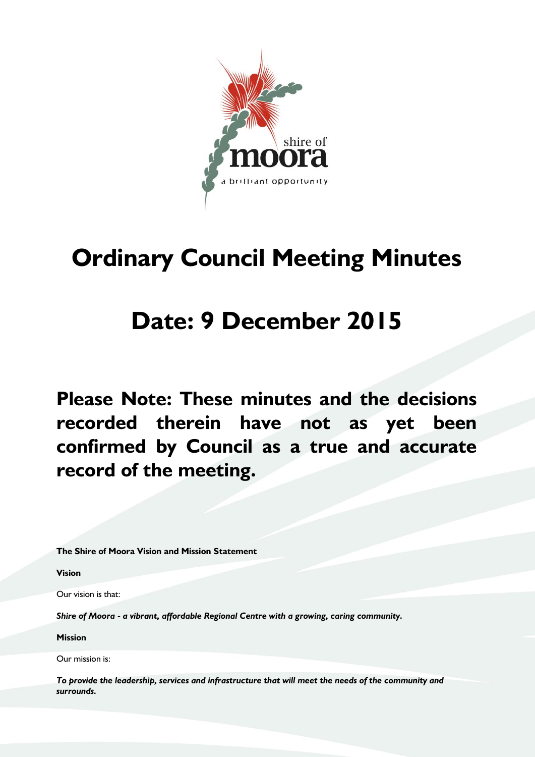

# **Ordinary Council Meeting Minutes**

# **Date: 9 December 2015**

**Please Note: These minutes and the decisions recorded therein have not as yet been confirmed by Council as a true and accurate record of the meeting.**

**The Shire of Moora Vision and Mission Statement**

**Vision**

Our vision is that:

*Shire of Moora - a vibrant, affordable Regional Centre with a growing, caring community.*

**Mission**

Our mission is:

*To provide the leadership, services and infrastructure that will meet the needs of the community and surrounds.*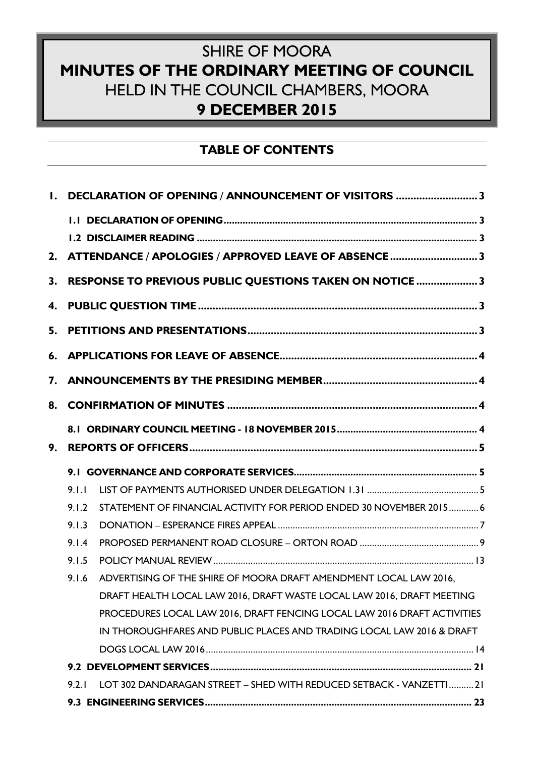# SHIRE OF MOORA **MINUTES OF THE ORDINARY MEETING OF COUNCIL** HELD IN THE COUNCIL CHAMBERS, MOORA **9 DECEMBER 2015**

# **TABLE OF CONTENTS**

|    |       | 1. DECLARATION OF OPENING / ANNOUNCEMENT OF VISITORS 3                   |  |  |  |  |
|----|-------|--------------------------------------------------------------------------|--|--|--|--|
|    |       |                                                                          |  |  |  |  |
|    |       |                                                                          |  |  |  |  |
|    |       | 2. ATTENDANCE / APOLOGIES / APPROVED LEAVE OF ABSENCE 3                  |  |  |  |  |
| 3. |       | RESPONSE TO PREVIOUS PUBLIC QUESTIONS TAKEN ON NOTICE 3                  |  |  |  |  |
|    |       |                                                                          |  |  |  |  |
| 5. |       |                                                                          |  |  |  |  |
|    |       |                                                                          |  |  |  |  |
| 7. |       |                                                                          |  |  |  |  |
| 8. |       |                                                                          |  |  |  |  |
|    |       |                                                                          |  |  |  |  |
| 9. |       |                                                                          |  |  |  |  |
|    |       |                                                                          |  |  |  |  |
|    | 9.1.1 |                                                                          |  |  |  |  |
|    | 9.1.2 | STATEMENT OF FINANCIAL ACTIVITY FOR PERIOD ENDED 30 NOVEMBER 20156       |  |  |  |  |
|    | 9.1.3 |                                                                          |  |  |  |  |
|    | 9.1.4 |                                                                          |  |  |  |  |
|    | 9.1.5 |                                                                          |  |  |  |  |
|    | 9.1.6 | ADVERTISING OF THE SHIRE OF MOORA DRAFT AMENDMENT LOCAL LAW 2016,        |  |  |  |  |
|    |       | DRAFT HEALTH LOCAL LAW 2016, DRAFT WASTE LOCAL LAW 2016, DRAFT MEETING   |  |  |  |  |
|    |       | PROCEDURES LOCAL LAW 2016, DRAFT FENCING LOCAL LAW 2016 DRAFT ACTIVITIES |  |  |  |  |
|    |       | IN THOROUGHFARES AND PUBLIC PLACES AND TRADING LOCAL LAW 2016 & DRAFT    |  |  |  |  |
|    |       |                                                                          |  |  |  |  |
|    |       |                                                                          |  |  |  |  |
|    | 9.2.1 | LOT 302 DANDARAGAN STREET - SHED WITH REDUCED SETBACK - VANZETTI21       |  |  |  |  |
|    |       |                                                                          |  |  |  |  |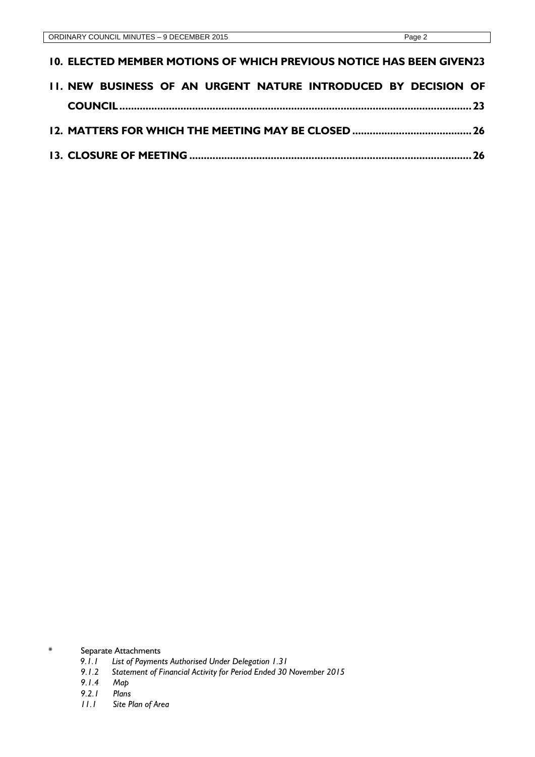| <b>10. ELECTED MEMBER MOTIONS OF WHICH PREVIOUS NOTICE HAS BEEN GIVEN23</b> |  |
|-----------------------------------------------------------------------------|--|
| II. NEW BUSINESS OF AN URGENT NATURE INTRODUCED BY DECISION OF              |  |
|                                                                             |  |
|                                                                             |  |
|                                                                             |  |

\* Separate Attachments

- *9.1.1 List of Payments Authorised Under Delegation 1.31*
- *9.1.2 Statement of Financial Activity for Period Ended 30 November 2015*
- *9.1.4 Map*
- *9.2.1 Plans*
- *11.1 Site Plan of Area*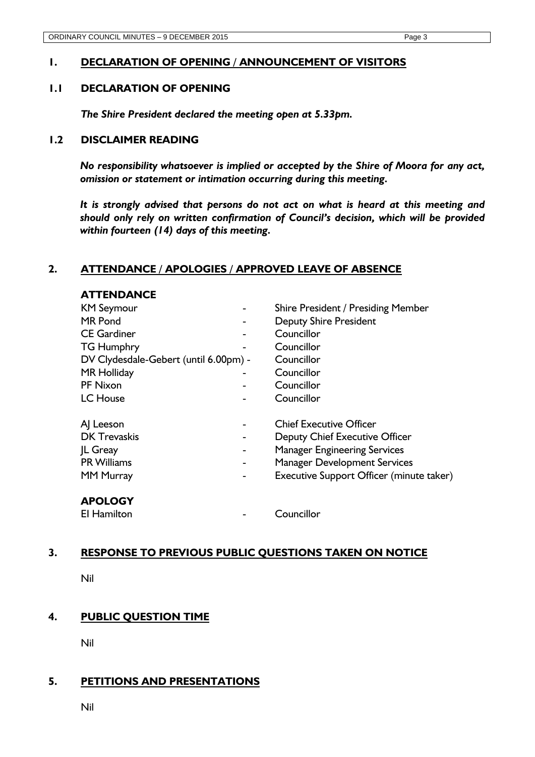# <span id="page-3-0"></span>**1. DECLARATION OF OPENING / ANNOUNCEMENT OF VISITORS**

# <span id="page-3-1"></span>**1.1 DECLARATION OF OPENING**

*The Shire President declared the meeting open at 5.33pm.* 

#### <span id="page-3-2"></span>**1.2 DISCLAIMER READING**

*No responsibility whatsoever is implied or accepted by the Shire of Moora for any act, omission or statement or intimation occurring during this meeting.* 

*It is strongly advised that persons do not act on what is heard at this meeting and should only rely on written confirmation of Council's decision, which will be provided within fourteen (14) days of this meeting.*

# <span id="page-3-3"></span>**2. ATTENDANCE / APOLOGIES / APPROVED LEAVE OF ABSENCE**

| <b>ATTENDANCE</b>                     |                                          |
|---------------------------------------|------------------------------------------|
| <b>KM Seymour</b>                     | Shire President / Presiding Member       |
| <b>MR</b> Pond                        | <b>Deputy Shire President</b>            |
| <b>CE Gardiner</b>                    | Councillor                               |
| <b>TG Humphry</b>                     | Councillor                               |
| DV Clydesdale-Gebert (until 6.00pm) - | Councillor                               |
| <b>MR Holliday</b>                    | Councillor                               |
| PF Nixon                              | Councillor                               |
| <b>LC</b> House                       | Councillor                               |
| A Leeson                              | <b>Chief Executive Officer</b>           |
| <b>DK</b> Trevaskis                   | Deputy Chief Executive Officer           |
| <b>IL Greay</b>                       | <b>Manager Engineering Services</b>      |
| <b>PR Williams</b>                    | <b>Manager Development Services</b>      |
| <b>MM Murray</b>                      | Executive Support Officer (minute taker) |
| <b>APOLOGY</b>                        |                                          |
| El Hamilton                           | Councillor                               |

#### <span id="page-3-4"></span>**3. RESPONSE TO PREVIOUS PUBLIC QUESTIONS TAKEN ON NOTICE**

Nil

# <span id="page-3-5"></span>**4. PUBLIC QUESTION TIME**

Nil

# <span id="page-3-6"></span>**5. PETITIONS AND PRESENTATIONS**

Nil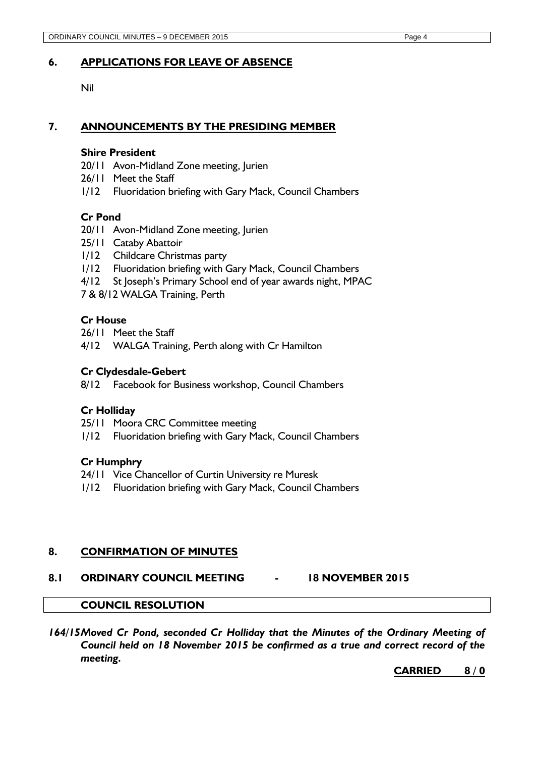# <span id="page-4-0"></span>**6. APPLICATIONS FOR LEAVE OF ABSENCE**

Nil

### <span id="page-4-1"></span>**7. ANNOUNCEMENTS BY THE PRESIDING MEMBER**

#### **Shire President**

- 20/11 Avon-Midland Zone meeting, Jurien
- 26/11 Meet the Staff
- 1/12 Fluoridation briefing with Gary Mack, Council Chambers

#### **Cr Pond**

- 20/11 Avon-Midland Zone meeting, Jurien
- 25/11 Cataby Abattoir
- 1/12 Childcare Christmas party
- 1/12 Fluoridation briefing with Gary Mack, Council Chambers
- 4/12 St Joseph's Primary School end of year awards night, MPAC

7 & 8/12 WALGA Training, Perth

#### **Cr House**

26/11 Meet the Staff

4/12 WALGA Training, Perth along with Cr Hamilton

#### **Cr Clydesdale-Gebert**

8/12 Facebook for Business workshop, Council Chambers

#### **Cr Holliday**

- 25/11 Moora CRC Committee meeting
- 1/12 Fluoridation briefing with Gary Mack, Council Chambers

#### **Cr Humphry**

- 24/11 Vice Chancellor of Curtin University re Muresk
- 1/12 Fluoridation briefing with Gary Mack, Council Chambers

#### <span id="page-4-2"></span>**8. CONFIRMATION OF MINUTES**

#### <span id="page-4-3"></span>**8.1 ORDINARY COUNCIL MEETING - 18 NOVEMBER 2015**

#### **COUNCIL RESOLUTION**

*164/15Moved Cr Pond, seconded Cr Holliday that the Minutes of the Ordinary Meeting of Council held on 18 November 2015 be confirmed as a true and correct record of the meeting.*

#### **CARRIED 8 / 0**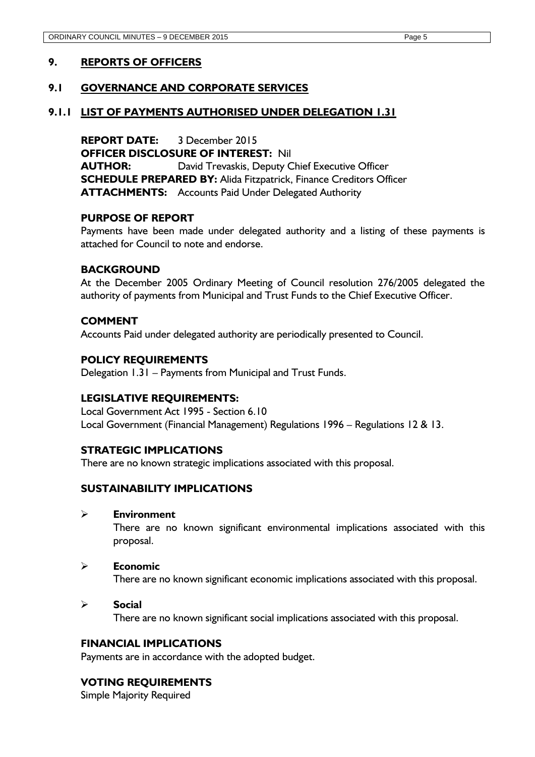# <span id="page-5-0"></span>**9. REPORTS OF OFFICERS**

# <span id="page-5-1"></span>**9.1 GOVERNANCE AND CORPORATE SERVICES**

#### <span id="page-5-2"></span>**9.1.1 LIST OF PAYMENTS AUTHORISED UNDER DELEGATION 1.31**

**REPORT DATE:** 3 December 2015 **OFFICER DISCLOSURE OF INTEREST:** Nil **AUTHOR:** David Trevaskis, Deputy Chief Executive Officer **SCHEDULE PREPARED BY:** Alida Fitzpatrick, Finance Creditors Officer **ATTACHMENTS:** Accounts Paid Under Delegated Authority

#### **PURPOSE OF REPORT**

Payments have been made under delegated authority and a listing of these payments is attached for Council to note and endorse.

#### **BACKGROUND**

At the December 2005 Ordinary Meeting of Council resolution 276/2005 delegated the authority of payments from Municipal and Trust Funds to the Chief Executive Officer.

#### **COMMENT**

Accounts Paid under delegated authority are periodically presented to Council.

#### **POLICY REQUIREMENTS**

Delegation 1.31 – Payments from Municipal and Trust Funds.

#### **LEGISLATIVE REQUIREMENTS:**

Local Government Act 1995 - Section 6.10 Local Government (Financial Management) Regulations 1996 – Regulations 12 & 13.

#### **STRATEGIC IMPLICATIONS**

There are no known strategic implications associated with this proposal.

#### **SUSTAINABILITY IMPLICATIONS**

**Environment**

There are no known significant environmental implications associated with this proposal.

#### **Economic**

There are no known significant economic implications associated with this proposal.

#### **Social**

There are no known significant social implications associated with this proposal.

#### **FINANCIAL IMPLICATIONS**

Payments are in accordance with the adopted budget.

#### **VOTING REQUIREMENTS**

Simple Majority Required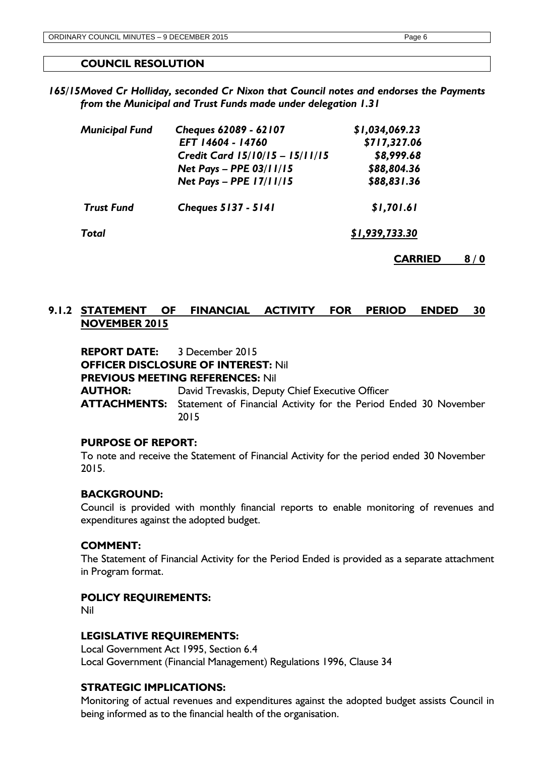#### **COUNCIL RESOLUTION**

*165/15Moved Cr Holliday, seconded Cr Nixon that Council notes and endorses the Payments from the Municipal and Trust Funds made under delegation 1.31*

| Cheques 62089 - 62107           | \$1,034,069.23 |  |  |  |  |
|---------------------------------|----------------|--|--|--|--|
| EFT 14604 - 14760               | \$717,327.06   |  |  |  |  |
| Credit Card 15/10/15 - 15/11/15 | \$8,999.68     |  |  |  |  |
| Net Pays - PPE 03/11/15         | \$88,804.36    |  |  |  |  |
| Net Pays - PPE 17/11/15         | \$88,831.36    |  |  |  |  |
| <b>Cheques 5137 - 5141</b>      | \$1,701.61     |  |  |  |  |
| <b>Total</b>                    |                |  |  |  |  |
|                                 |                |  |  |  |  |

**CARRIED 8 / 0**

# <span id="page-6-0"></span>**9.1.2 STATEMENT OF FINANCIAL ACTIVITY FOR PERIOD ENDED 30 NOVEMBER 2015**

**REPORT DATE:** 3 December 2015 **OFFICER DISCLOSURE OF INTEREST:** Nil **PREVIOUS MEETING REFERENCES:** Nil **AUTHOR:** David Trevaskis, Deputy Chief Executive Officer **ATTACHMENTS:** Statement of Financial Activity for the Period Ended 30 November 2015

#### **PURPOSE OF REPORT:**

To note and receive the Statement of Financial Activity for the period ended 30 November 2015.

#### **BACKGROUND:**

Council is provided with monthly financial reports to enable monitoring of revenues and expenditures against the adopted budget.

#### **COMMENT:**

The Statement of Financial Activity for the Period Ended is provided as a separate attachment in Program format.

#### **POLICY REQUIREMENTS:**

Nil

#### **LEGISLATIVE REQUIREMENTS:**

Local Government Act 1995, Section 6.4 Local Government (Financial Management) Regulations 1996, Clause 34

### **STRATEGIC IMPLICATIONS:**

Monitoring of actual revenues and expenditures against the adopted budget assists Council in being informed as to the financial health of the organisation.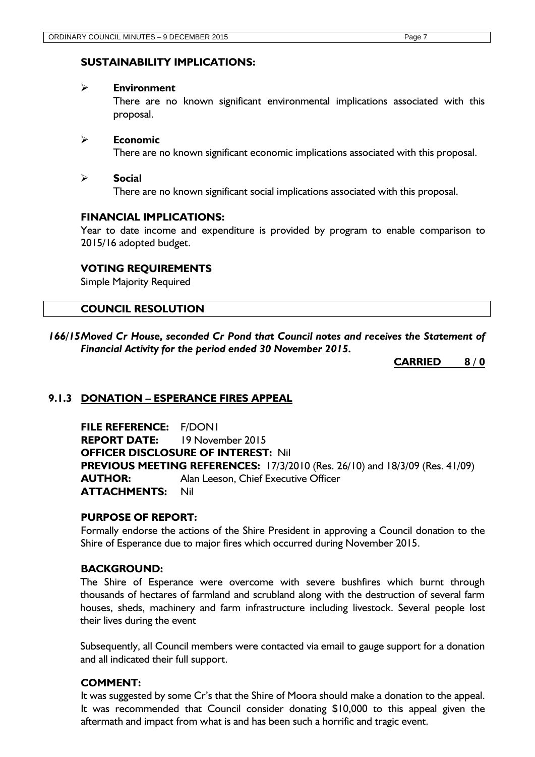# **SUSTAINABILITY IMPLICATIONS:**

#### **Environment**

There are no known significant environmental implications associated with this proposal.

#### **Economic**

There are no known significant economic implications associated with this proposal.

#### **Social**

There are no known significant social implications associated with this proposal.

#### **FINANCIAL IMPLICATIONS:**

Year to date income and expenditure is provided by program to enable comparison to 2015/16 adopted budget.

# **VOTING REQUIREMENTS**

Simple Majority Required

#### **COUNCIL RESOLUTION**

*166/15Moved Cr House, seconded Cr Pond that Council notes and receives the Statement of Financial Activity for the period ended 30 November 2015.*

**CARRIED 8 / 0**

# <span id="page-7-0"></span>**9.1.3 DONATION – ESPERANCE FIRES APPEAL**

**FILE REFERENCE:** F/DON1 **REPORT DATE:** 19 November 2015 **OFFICER DISCLOSURE OF INTEREST:** Nil **PREVIOUS MEETING REFERENCES:** 17/3/2010 (Res. 26/10) and 18/3/09 (Res. 41/09) **AUTHOR:** Alan Leeson, Chief Executive Officer **ATTACHMENTS:** Nil

#### **PURPOSE OF REPORT:**

Formally endorse the actions of the Shire President in approving a Council donation to the Shire of Esperance due to major fires which occurred during November 2015.

#### **BACKGROUND:**

The Shire of Esperance were overcome with severe bushfires which burnt through thousands of hectares of farmland and scrubland along with the destruction of several farm houses, sheds, machinery and farm infrastructure including livestock. Several people lost their lives during the event

Subsequently, all Council members were contacted via email to gauge support for a donation and all indicated their full support.

#### **COMMENT:**

It was suggested by some Cr's that the Shire of Moora should make a donation to the appeal. It was recommended that Council consider donating \$10,000 to this appeal given the aftermath and impact from what is and has been such a horrific and tragic event.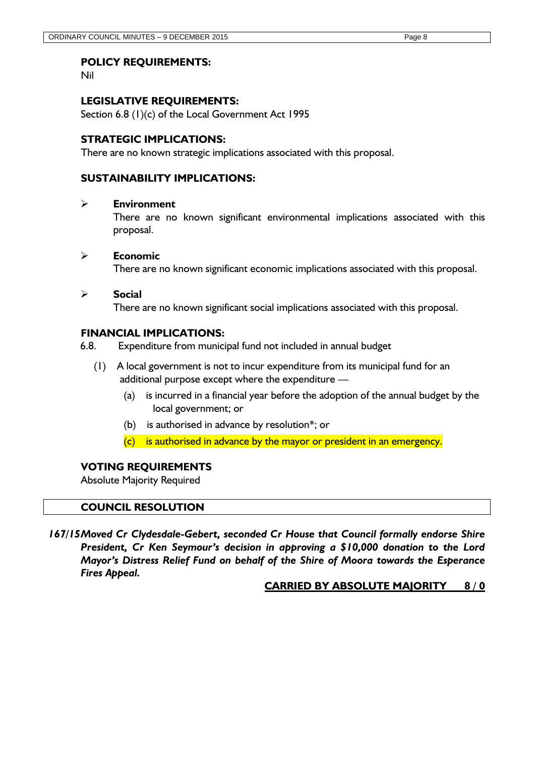Nil

# **LEGISLATIVE REQUIREMENTS:**

Section 6.8 (1)(c) of the Local Government Act 1995

### **STRATEGIC IMPLICATIONS:**

There are no known strategic implications associated with this proposal.

# **SUSTAINABILITY IMPLICATIONS:**

#### **Environment**

There are no known significant environmental implications associated with this proposal.

#### **Economic**

There are no known significant economic implications associated with this proposal.

#### **Social**

There are no known significant social implications associated with this proposal.

#### **FINANCIAL IMPLICATIONS:**

6.8. Expenditure from municipal fund not included in annual budget

- (1) A local government is not to incur expenditure from its municipal fund for an additional purpose except where the expenditure —
	- (a) is incurred in a financial year before the adoption of the annual budget by the local government; or
	- (b) is authorised in advance by resolution\*; or
	- $(c)$  is authorised in advance by the mayor or president in an emergency.

### **VOTING REQUIREMENTS**

Absolute Majority Required

#### **COUNCIL RESOLUTION**

*167/15Moved Cr Clydesdale-Gebert, seconded Cr House that Council formally endorse Shire President, Cr Ken Seymour's decision in approving a \$10,000 donation to the Lord Mayor's Distress Relief Fund on behalf of the Shire of Moora towards the Esperance Fires Appeal.*

#### **CARRIED BY ABSOLUTE MAJORITY 8 / 0**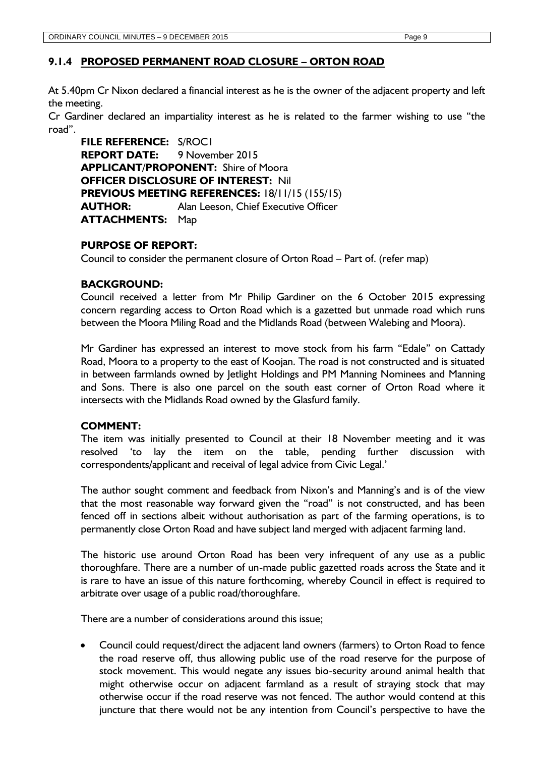#### <span id="page-9-0"></span>**9.1.4 PROPOSED PERMANENT ROAD CLOSURE – ORTON ROAD**

At 5.40pm Cr Nixon declared a financial interest as he is the owner of the adjacent property and left the meeting.

Cr Gardiner declared an impartiality interest as he is related to the farmer wishing to use "the road".

**FILE REFERENCE:** S/ROC1 **REPORT DATE:** 9 November 2015 **APPLICANT/PROPONENT:** Shire of Moora **OFFICER DISCLOSURE OF INTEREST:** Nil **PREVIOUS MEETING REFERENCES:** 18/11/15 (155/15) **AUTHOR:** Alan Leeson, Chief Executive Officer **ATTACHMENTS:** Map

#### **PURPOSE OF REPORT:**

Council to consider the permanent closure of Orton Road – Part of. (refer map)

#### **BACKGROUND:**

Council received a letter from Mr Philip Gardiner on the 6 October 2015 expressing concern regarding access to Orton Road which is a gazetted but unmade road which runs between the Moora Miling Road and the Midlands Road (between Walebing and Moora).

Mr Gardiner has expressed an interest to move stock from his farm "Edale" on Cattady Road, Moora to a property to the east of Koojan. The road is not constructed and is situated in between farmlands owned by Jetlight Holdings and PM Manning Nominees and Manning and Sons. There is also one parcel on the south east corner of Orton Road where it intersects with the Midlands Road owned by the Glasfurd family.

#### **COMMENT:**

The item was initially presented to Council at their 18 November meeting and it was resolved 'to lay the item on the table, pending further discussion with correspondents/applicant and receival of legal advice from Civic Legal.'

The author sought comment and feedback from Nixon's and Manning's and is of the view that the most reasonable way forward given the "road" is not constructed, and has been fenced off in sections albeit without authorisation as part of the farming operations, is to permanently close Orton Road and have subject land merged with adjacent farming land.

The historic use around Orton Road has been very infrequent of any use as a public thoroughfare. There are a number of un-made public gazetted roads across the State and it is rare to have an issue of this nature forthcoming, whereby Council in effect is required to arbitrate over usage of a public road/thoroughfare.

There are a number of considerations around this issue;

 Council could request/direct the adjacent land owners (farmers) to Orton Road to fence the road reserve off, thus allowing public use of the road reserve for the purpose of stock movement. This would negate any issues bio-security around animal health that might otherwise occur on adjacent farmland as a result of straying stock that may otherwise occur if the road reserve was not fenced. The author would contend at this juncture that there would not be any intention from Council's perspective to have the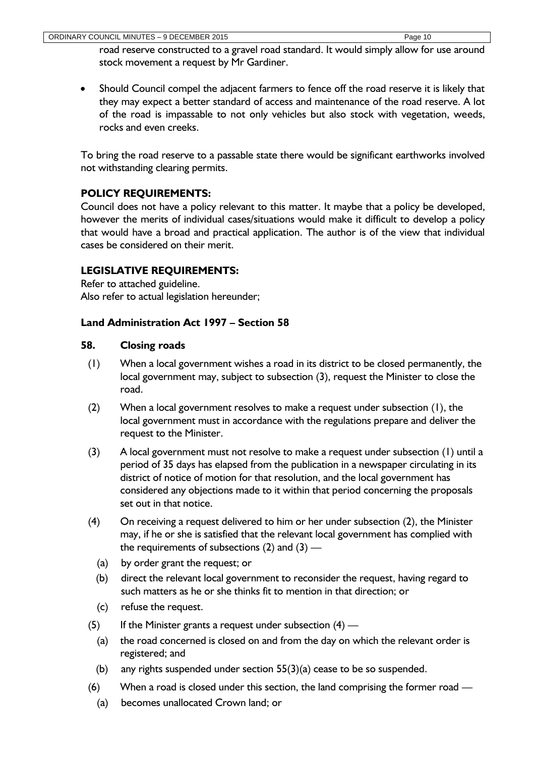road reserve constructed to a gravel road standard. It would simply allow for use around stock movement a request by Mr Gardiner.

• Should Council compel the adjacent farmers to fence off the road reserve it is likely that they may expect a better standard of access and maintenance of the road reserve. A lot of the road is impassable to not only vehicles but also stock with vegetation, weeds, rocks and even creeks.

To bring the road reserve to a passable state there would be significant earthworks involved not withstanding clearing permits.

# **POLICY REQUIREMENTS:**

Council does not have a policy relevant to this matter. It maybe that a policy be developed, however the merits of individual cases/situations would make it difficult to develop a policy that would have a broad and practical application. The author is of the view that individual cases be considered on their merit.

# **LEGISLATIVE REQUIREMENTS:**

Refer to attached guideline. Also refer to actual legislation hereunder;

# **Land Administration Act 1997 – Section 58**

# **58. Closing roads**

- (1) When a local government wishes a road in its district to be closed permanently, the local government may, subject to subsection (3), request the Minister to close the road.
- (2) When a local government resolves to make a request under subsection (1), the local government must in accordance with the regulations prepare and deliver the request to the Minister.
- (3) A local government must not resolve to make a request under subsection (1) until a period of 35 days has elapsed from the publication in a newspaper circulating in its district of notice of motion for that resolution, and the local government has considered any objections made to it within that period concerning the proposals set out in that notice.
- (4) On receiving a request delivered to him or her under subsection (2), the Minister may, if he or she is satisfied that the relevant local government has complied with the requirements of subsections  $(2)$  and  $(3)$  —
	- (a) by order grant the request; or
	- (b) direct the relevant local government to reconsider the request, having regard to such matters as he or she thinks fit to mention in that direction; or
	- (c) refuse the request.
- (5) If the Minister grants a request under subsection  $(4)$ 
	- (a) the road concerned is closed on and from the day on which the relevant order is registered; and
	- (b) any rights suspended under section  $55(3)(a)$  cease to be so suspended.
- (6) When a road is closed under this section, the land comprising the former road
	- (a) becomes unallocated Crown land; or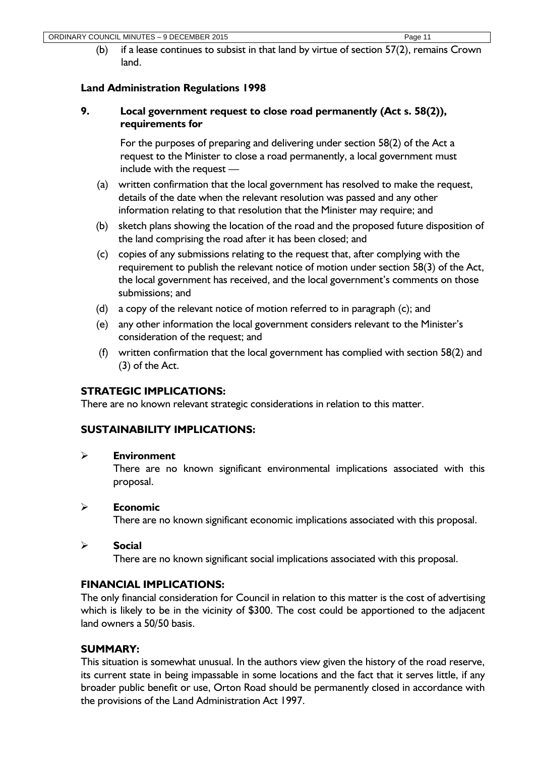(b) if a lease continues to subsist in that land by virtue of section 57(2), remains Crown land.

# **Land Administration Regulations 1998**

# **9. Local government request to close road permanently (Act s. 58(2)), requirements for**

For the purposes of preparing and delivering under section 58(2) of the Act a request to the Minister to close a road permanently, a local government must include with the request —

- (a) written confirmation that the local government has resolved to make the request, details of the date when the relevant resolution was passed and any other information relating to that resolution that the Minister may require; and
- (b) sketch plans showing the location of the road and the proposed future disposition of the land comprising the road after it has been closed; and
- (c) copies of any submissions relating to the request that, after complying with the requirement to publish the relevant notice of motion under section 58(3) of the Act, the local government has received, and the local government's comments on those submissions; and
- (d) a copy of the relevant notice of motion referred to in paragraph (c); and
- (e) any other information the local government considers relevant to the Minister's consideration of the request; and
- (f) written confirmation that the local government has complied with section 58(2) and (3) of the Act.

# **STRATEGIC IMPLICATIONS:**

There are no known relevant strategic considerations in relation to this matter.

# **SUSTAINABILITY IMPLICATIONS:**

# **Environment**

There are no known significant environmental implications associated with this proposal.

# **Economic**

There are no known significant economic implications associated with this proposal.

# **Social**

There are no known significant social implications associated with this proposal.

# **FINANCIAL IMPLICATIONS:**

The only financial consideration for Council in relation to this matter is the cost of advertising which is likely to be in the vicinity of \$300. The cost could be apportioned to the adjacent land owners a 50/50 basis.

# **SUMMARY:**

This situation is somewhat unusual. In the authors view given the history of the road reserve, its current state in being impassable in some locations and the fact that it serves little, if any broader public benefit or use, Orton Road should be permanently closed in accordance with the provisions of the Land Administration Act 1997.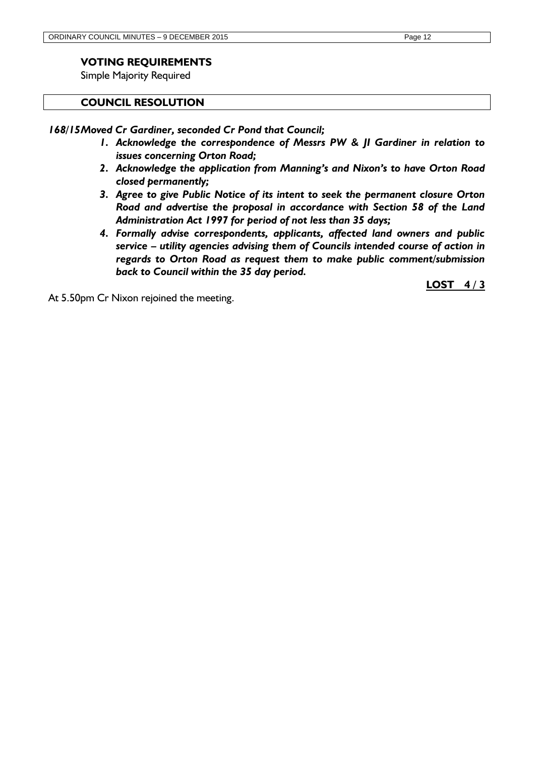# **VOTING REQUIREMENTS**

Simple Majority Required

#### **COUNCIL RESOLUTION**

*168/15Moved Cr Gardiner, seconded Cr Pond that Council;*

- *1. Acknowledge the correspondence of Messrs PW & JI Gardiner in relation to issues concerning Orton Road;*
- *2. Acknowledge the application from Manning's and Nixon's to have Orton Road closed permanently;*
- *3. Agree to give Public Notice of its intent to seek the permanent closure Orton Road and advertise the proposal in accordance with Section 58 of the Land Administration Act 1997 for period of not less than 35 days;*
- *4. Formally advise correspondents, applicants, affected land owners and public service – utility agencies advising them of Councils intended course of action in regards to Orton Road as request them to make public comment/submission back to Council within the 35 day period.*

At 5.50pm Cr Nixon rejoined the meeting.

**LOST 4 / 3**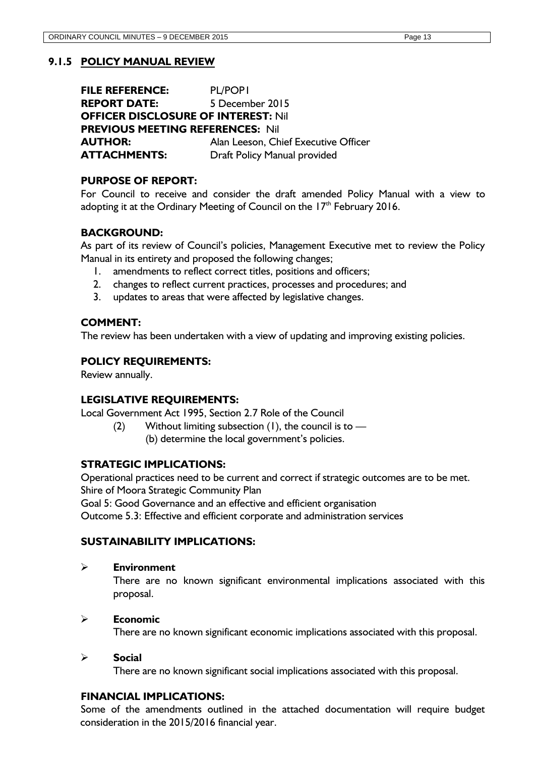<span id="page-13-0"></span>**FILE REFERENCE:** PL/POP1 **REPORT DATE:** 5 December 2015 **OFFICER DISCLOSURE OF INTEREST:** Nil **PREVIOUS MEETING REFERENCES:** Nil **AUTHOR:** Alan Leeson, Chief Executive Officer **ATTACHMENTS:** Draft Policy Manual provided

# **PURPOSE OF REPORT:**

For Council to receive and consider the draft amended Policy Manual with a view to adopting it at the Ordinary Meeting of Council on the  $17<sup>th</sup>$  February 2016.

# **BACKGROUND:**

As part of its review of Council's policies, Management Executive met to review the Policy Manual in its entirety and proposed the following changes;

- 1. amendments to reflect correct titles, positions and officers;
- 2. changes to reflect current practices, processes and procedures; and
- 3. updates to areas that were affected by legislative changes.

#### **COMMENT:**

The review has been undertaken with a view of updating and improving existing policies.

#### **POLICY REQUIREMENTS:**

Review annually.

#### **LEGISLATIVE REQUIREMENTS:**

Local Government Act 1995, Section 2.7 Role of the Council

(2) Without limiting subsection  $(1)$ , the council is to  $-$ (b) determine the local government's policies.

#### **STRATEGIC IMPLICATIONS:**

Operational practices need to be current and correct if strategic outcomes are to be met. Shire of Moora Strategic Community Plan

Goal 5: Good Governance and an effective and efficient organisation

Outcome 5.3: Effective and efficient corporate and administration services

#### **SUSTAINABILITY IMPLICATIONS:**

#### **Environment**

There are no known significant environmental implications associated with this proposal.

#### **Economic**

There are no known significant economic implications associated with this proposal.

#### **Social**

There are no known significant social implications associated with this proposal.

#### **FINANCIAL IMPLICATIONS:**

Some of the amendments outlined in the attached documentation will require budget consideration in the 2015/2016 financial year.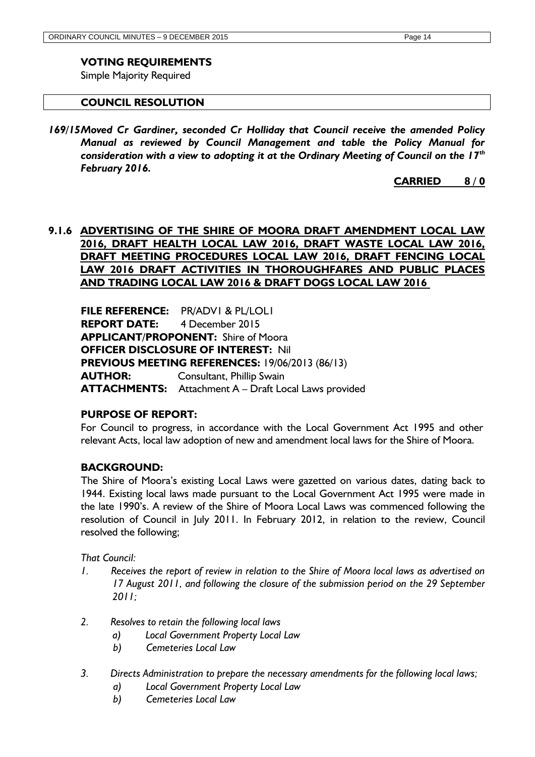#### **VOTING REQUIREMENTS**

Simple Majority Required

#### **COUNCIL RESOLUTION**

*169/15Moved Cr Gardiner, seconded Cr Holliday that Council receive the amended Policy Manual as reviewed by Council Management and table the Policy Manual for consideration with a view to adopting it at the Ordinary Meeting of Council on the 17th February 2016.*

**CARRIED 8 / 0**

# <span id="page-14-0"></span>**9.1.6 ADVERTISING OF THE SHIRE OF MOORA DRAFT AMENDMENT LOCAL LAW 2016, DRAFT HEALTH LOCAL LAW 2016, DRAFT WASTE LOCAL LAW 2016, DRAFT MEETING PROCEDURES LOCAL LAW 2016, DRAFT FENCING LOCAL LAW 2016 DRAFT ACTIVITIES IN THOROUGHFARES AND PUBLIC PLACES AND TRADING LOCAL LAW 2016 & DRAFT DOGS LOCAL LAW 2016**

**FILE REFERENCE:** PR/ADV1 & PL/LOL1 **REPORT DATE:** 4 December 2015 **APPLICANT/PROPONENT:** Shire of Moora **OFFICER DISCLOSURE OF INTEREST:** Nil **PREVIOUS MEETING REFERENCES:** 19/06/2013 (86/13) **AUTHOR:** Consultant, Phillip Swain **ATTACHMENTS:** Attachment A – Draft Local Laws provided

#### **PURPOSE OF REPORT:**

For Council to progress, in accordance with the Local Government Act 1995 and other relevant Acts, local law adoption of new and amendment local laws for the Shire of Moora.

#### **BACKGROUND:**

The Shire of Moora's existing Local Laws were gazetted on various dates, dating back to 1944. Existing local laws made pursuant to the Local Government Act 1995 were made in the late 1990's. A review of the Shire of Moora Local Laws was commenced following the resolution of Council in July 2011. In February 2012, in relation to the review, Council resolved the following;

*That Council:*

- *1. Receives the report of review in relation to the Shire of Moora local laws as advertised on 17 August 2011, and following the closure of the submission period on the 29 September 2011;*
- *2. Resolves to retain the following local laws*
	- *a) Local Government Property Local Law*
	- *b) Cemeteries Local Law*
- *3. Directs Administration to prepare the necessary amendments for the following local laws;*
	- *a) Local Government Property Local Law*
	- *b) Cemeteries Local Law*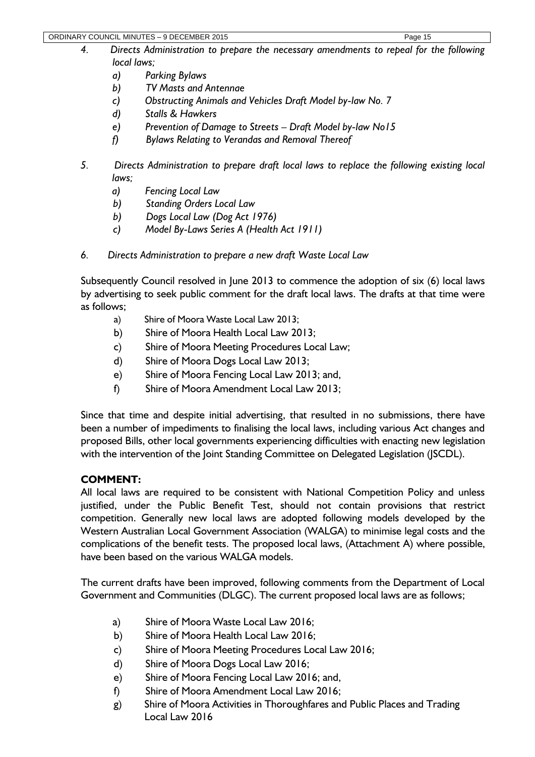- *4. Directs Administration to prepare the necessary amendments to repeal for the following local laws;*
	- *a) Parking Bylaws*
	- *b) TV Masts and Antennae*
	- *c) Obstructing Animals and Vehicles Draft Model by-law No. 7*
	- *d) Stalls & Hawkers*
	- *e) Prevention of Damage to Streets – Draft Model by-law No15*
	- *f) Bylaws Relating to Verandas and Removal Thereof*
- *5. Directs Administration to prepare draft local laws to replace the following existing local laws;*
	- *a) Fencing Local Law*
	- *b) Standing Orders Local Law*
	- *b) Dogs Local Law (Dog Act 1976)*
	- *c) Model By-Laws Series A (Health Act 1911)*
- *6. Directs Administration to prepare a new draft Waste Local Law*

Subsequently Council resolved in June 2013 to commence the adoption of six (6) local laws by advertising to seek public comment for the draft local laws. The drafts at that time were as follows;

- a) Shire of Moora Waste Local Law 2013;
- b) Shire of Moora Health Local Law 2013;
- c) Shire of Moora Meeting Procedures Local Law;
- d) Shire of Moora Dogs Local Law 2013;
- e) Shire of Moora Fencing Local Law 2013; and,
- f) Shire of Moora Amendment Local Law 2013;

Since that time and despite initial advertising, that resulted in no submissions, there have been a number of impediments to finalising the local laws, including various Act changes and proposed Bills, other local governments experiencing difficulties with enacting new legislation with the intervention of the Joint Standing Committee on Delegated Legislation (JSCDL).

# **COMMENT:**

All local laws are required to be consistent with National Competition Policy and unless justified, under the Public Benefit Test, should not contain provisions that restrict competition. Generally new local laws are adopted following models developed by the Western Australian Local Government Association (WALGA) to minimise legal costs and the complications of the benefit tests. The proposed local laws, (Attachment A) where possible, have been based on the various WALGA models.

The current drafts have been improved, following comments from the Department of Local Government and Communities (DLGC). The current proposed local laws are as follows;

- a) Shire of Moora Waste Local Law 2016;
- b) Shire of Moora Health Local Law 2016;
- c) Shire of Moora Meeting Procedures Local Law 2016;
- d) Shire of Moora Dogs Local Law 2016;
- e) Shire of Moora Fencing Local Law 2016; and,
- f) Shire of Moora Amendment Local Law 2016;
- g) Shire of Moora Activities in Thoroughfares and Public Places and Trading Local Law 2016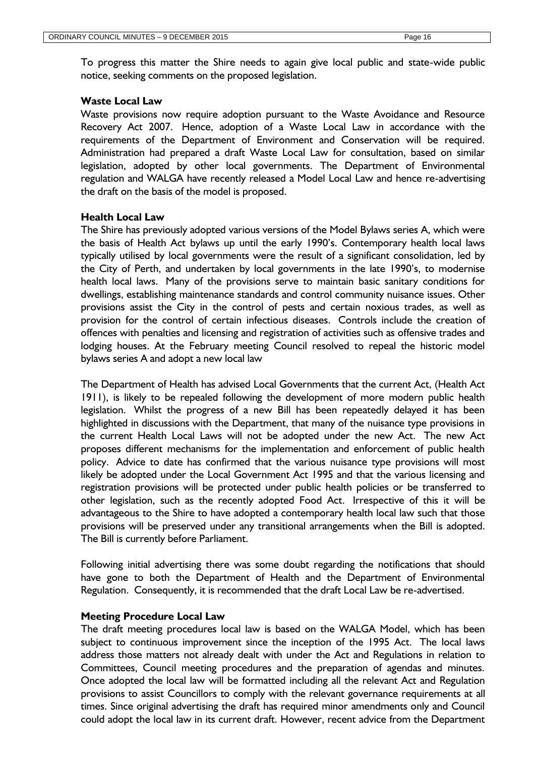To progress this matter the Shire needs to again give local public and state-wide public notice, seeking comments on the proposed legislation.

#### **Waste Local Law**

Waste provisions now require adoption pursuant to the Waste Avoidance and Resource Recovery Act 2007. Hence, adoption of a Waste Local Law in accordance with the requirements of the Department of Environment and Conservation will be required. Administration had prepared a draft Waste Local Law for consultation, based on similar legislation, adopted by other local governments. The Department of Environmental regulation and WALGA have recently released a Model Local Law and hence re-advertising the draft on the basis of the model is proposed.

#### **Health Local Law**

The Shire has previously adopted various versions of the Model Bylaws series A, which were the basis of Health Act bylaws up until the early 1990's. Contemporary health local laws typically utilised by local governments were the result of a significant consolidation, led by the City of Perth, and undertaken by local governments in the late 1990's, to modernise health local laws. Many of the provisions serve to maintain basic sanitary conditions for dwellings, establishing maintenance standards and control community nuisance issues. Other provisions assist the City in the control of pests and certain noxious trades, as well as provision for the control of certain infectious diseases. Controls include the creation of offences with penalties and licensing and registration of activities such as offensive trades and lodging houses. At the February meeting Council resolved to repeal the historic model bylaws series A and adopt a new local law

The Department of Health has advised Local Governments that the current Act, (Health Act 1911), is likely to be repealed following the development of more modern public health legislation. Whilst the progress of a new Bill has been repeatedly delayed it has been highlighted in discussions with the Department, that many of the nuisance type provisions in the current Health Local Laws will not be adopted under the new Act. The new Act proposes different mechanisms for the implementation and enforcement of public health policy. Advice to date has confirmed that the various nuisance type provisions will most likely be adopted under the Local Government Act 1995 and that the various licensing and registration provisions will be protected under public health policies or be transferred to other legislation, such as the recently adopted Food Act. Irrespective of this it will be advantageous to the Shire to have adopted a contemporary health local law such that those provisions will be preserved under any transitional arrangements when the Bill is adopted. The Bill is currently before Parliament.

Following initial advertising there was some doubt regarding the notifications that should have gone to both the Department of Health and the Department of Environmental Regulation. Consequently, it is recommended that the draft Local Law be re-advertised.

#### **Meeting Procedure Local Law**

The draft meeting procedures local law is based on the WALGA Model, which has been subject to continuous improvement since the inception of the 1995 Act. The local laws address those matters not already dealt with under the Act and Regulations in relation to Committees, Council meeting procedures and the preparation of agendas and minutes. Once adopted the local law will be formatted including all the relevant Act and Regulation provisions to assist Councillors to comply with the relevant governance requirements at all times. Since original advertising the draft has required minor amendments only and Council could adopt the local law in its current draft. However, recent advice from the Department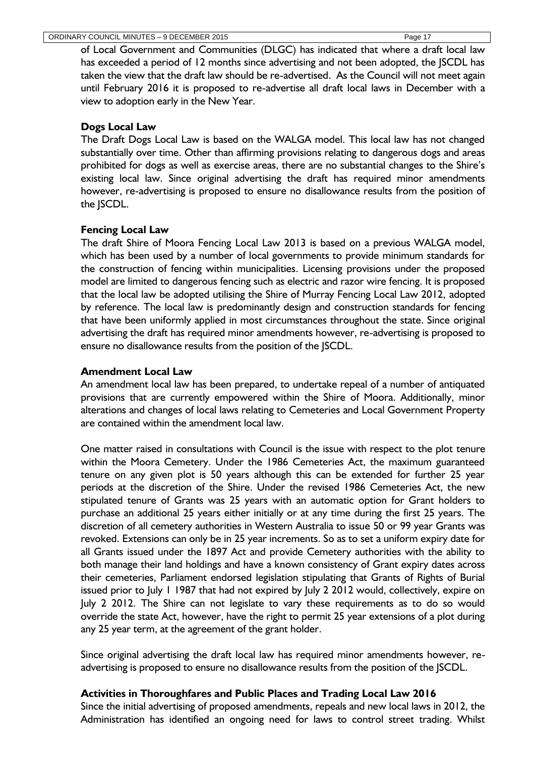of Local Government and Communities (DLGC) has indicated that where a draft local law has exceeded a period of 12 months since advertising and not been adopted, the SCDL has taken the view that the draft law should be re-advertised. As the Council will not meet again until February 2016 it is proposed to re-advertise all draft local laws in December with a view to adoption early in the New Year.

# **Dogs Local Law**

The Draft Dogs Local Law is based on the WALGA model. This local law has not changed substantially over time. Other than affirming provisions relating to dangerous dogs and areas prohibited for dogs as well as exercise areas, there are no substantial changes to the Shire's existing local law. Since original advertising the draft has required minor amendments however, re-advertising is proposed to ensure no disallowance results from the position of the JSCDL.

# **Fencing Local Law**

The draft Shire of Moora Fencing Local Law 2013 is based on a previous WALGA model, which has been used by a number of local governments to provide minimum standards for the construction of fencing within municipalities. Licensing provisions under the proposed model are limited to dangerous fencing such as electric and razor wire fencing. It is proposed that the local law be adopted utilising the Shire of Murray Fencing Local Law 2012, adopted by reference. The local law is predominantly design and construction standards for fencing that have been uniformly applied in most circumstances throughout the state. Since original advertising the draft has required minor amendments however, re-advertising is proposed to ensure no disallowance results from the position of the JSCDL.

# **Amendment Local Law**

An amendment local law has been prepared, to undertake repeal of a number of antiquated provisions that are currently empowered within the Shire of Moora. Additionally, minor alterations and changes of local laws relating to Cemeteries and Local Government Property are contained within the amendment local law.

One matter raised in consultations with Council is the issue with respect to the plot tenure within the Moora Cemetery. Under the 1986 Cemeteries Act, the maximum guaranteed tenure on any given plot is 50 years although this can be extended for further 25 year periods at the discretion of the Shire. Under the revised 1986 Cemeteries Act, the new stipulated tenure of Grants was 25 years with an automatic option for Grant holders to purchase an additional 25 years either initially or at any time during the first 25 years. The discretion of all cemetery authorities in Western Australia to issue 50 or 99 year Grants was revoked. Extensions can only be in 25 year increments. So as to set a uniform expiry date for all Grants issued under the 1897 Act and provide Cemetery authorities with the ability to both manage their land holdings and have a known consistency of Grant expiry dates across their cemeteries, Parliament endorsed legislation stipulating that Grants of Rights of Burial issued prior to July 1 1987 that had not expired by July 2 2012 would, collectively, expire on July 2 2012. The Shire can not legislate to vary these requirements as to do so would override the state Act, however, have the right to permit 25 year extensions of a plot during any 25 year term, at the agreement of the grant holder.

Since original advertising the draft local law has required minor amendments however, readvertising is proposed to ensure no disallowance results from the position of the JSCDL.

#### **Activities in Thoroughfares and Public Places and Trading Local Law 2016**

Since the initial advertising of proposed amendments, repeals and new local laws in 2012, the Administration has identified an ongoing need for laws to control street trading. Whilst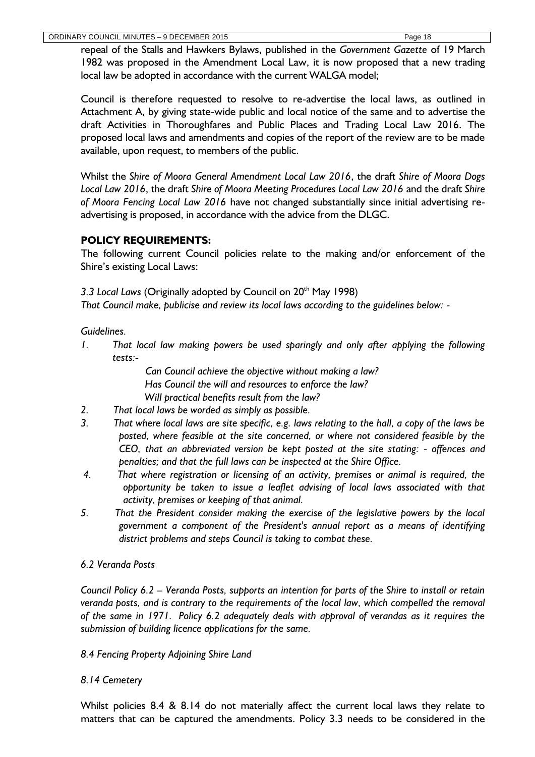repeal of the Stalls and Hawkers Bylaws, published in the *Government Gazette* of 19 March 1982 was proposed in the Amendment Local Law, it is now proposed that a new trading local law be adopted in accordance with the current WALGA model;

Council is therefore requested to resolve to re-advertise the local laws, as outlined in Attachment A, by giving state-wide public and local notice of the same and to advertise the draft Activities in Thoroughfares and Public Places and Trading Local Law 2016. The proposed local laws and amendments and copies of the report of the review are to be made available, upon request, to members of the public.

Whilst the *Shire of Moora General Amendment Local Law 2016*, the draft *Shire of Moora Dogs Local Law 2016*, the draft *Shire of Moora Meeting Procedures Local Law 2016* and the draft *Shire of Moora Fencing Local Law 2016* have not changed substantially since initial advertising readvertising is proposed, in accordance with the advice from the DLGC.

# **POLICY REQUIREMENTS:**

The following current Council policies relate to the making and/or enforcement of the Shire's existing Local Laws:

3.3 Local Laws (Originally adopted by Council on 20<sup>th</sup> May 1998)

*That Council make, publicise and review its local laws according to the guidelines below: -*

# *Guidelines.*

*1. That local law making powers be used sparingly and only after applying the following tests:-*

> *Can Council achieve the objective without making a law? Has Council the will and resources to enforce the law? Will practical benefits result from the law?*

- *2. That local laws be worded as simply as possible.*
- *3. That where local laws are site specific, e.g. laws relating to the hall, a copy of the laws be posted, where feasible at the site concerned, or where not considered feasible by the CEO, that an abbreviated version be kept posted at the site stating: - offences and penalties; and that the full laws can be inspected at the Shire Office.*
- *4. That where registration or licensing of an activity, premises or animal is required, the opportunity be taken to issue a leaflet advising of local laws associated with that activity, premises or keeping of that animal.*
- *5. That the President consider making the exercise of the legislative powers by the local government a component of the President's annual report as a means of identifying district problems and steps Council is taking to combat these.*

# *6.2 Veranda Posts*

*Council Policy 6.2 – Veranda Posts, supports an intention for parts of the Shire to install or retain veranda posts, and is contrary to the requirements of the local law, which compelled the removal of the same in 1971. Policy 6.2 adequately deals with approval of verandas as it requires the submission of building licence applications for the same.*

#### *8.4 Fencing Property Adjoining Shire Land*

#### *8.14 Cemetery*

Whilst policies 8.4 & 8.14 do not materially affect the current local laws they relate to matters that can be captured the amendments. Policy 3.3 needs to be considered in the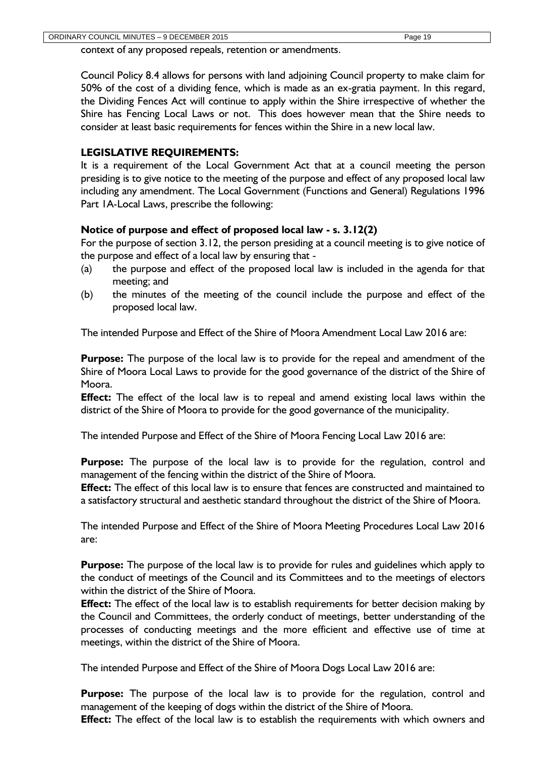context of any proposed repeals, retention or amendments.

Council Policy 8.4 allows for persons with land adjoining Council property to make claim for 50% of the cost of a dividing fence, which is made as an ex-gratia payment. In this regard, the Dividing Fences Act will continue to apply within the Shire irrespective of whether the Shire has Fencing Local Laws or not. This does however mean that the Shire needs to consider at least basic requirements for fences within the Shire in a new local law.

# **LEGISLATIVE REQUIREMENTS:**

It is a requirement of the Local Government Act that at a council meeting the person presiding is to give notice to the meeting of the purpose and effect of any proposed local law including any amendment. The Local Government (Functions and General) Regulations 1996 Part 1A-Local Laws, prescribe the following:

#### **Notice of purpose and effect of proposed local law - s. 3.12(2)**

For the purpose of section 3.12, the person presiding at a council meeting is to give notice of the purpose and effect of a local law by ensuring that -

- (a) the purpose and effect of the proposed local law is included in the agenda for that meeting; and
- (b) the minutes of the meeting of the council include the purpose and effect of the proposed local law.

The intended Purpose and Effect of the Shire of Moora Amendment Local Law 2016 are:

**Purpose:** The purpose of the local law is to provide for the repeal and amendment of the Shire of Moora Local Laws to provide for the good governance of the district of the Shire of Moora.

**Effect:** The effect of the local law is to repeal and amend existing local laws within the district of the Shire of Moora to provide for the good governance of the municipality.

The intended Purpose and Effect of the Shire of Moora Fencing Local Law 2016 are:

**Purpose:** The purpose of the local law is to provide for the regulation, control and management of the fencing within the district of the Shire of Moora.

**Effect:** The effect of this local law is to ensure that fences are constructed and maintained to a satisfactory structural and aesthetic standard throughout the district of the Shire of Moora.

The intended Purpose and Effect of the Shire of Moora Meeting Procedures Local Law 2016 are:

**Purpose:** The purpose of the local law is to provide for rules and guidelines which apply to the conduct of meetings of the Council and its Committees and to the meetings of electors within the district of the Shire of Moora.

**Effect:** The effect of the local law is to establish requirements for better decision making by the Council and Committees, the orderly conduct of meetings, better understanding of the processes of conducting meetings and the more efficient and effective use of time at meetings, within the district of the Shire of Moora.

The intended Purpose and Effect of the Shire of Moora Dogs Local Law 2016 are:

**Purpose:** The purpose of the local law is to provide for the regulation, control and management of the keeping of dogs within the district of the Shire of Moora.

**Effect:** The effect of the local law is to establish the requirements with which owners and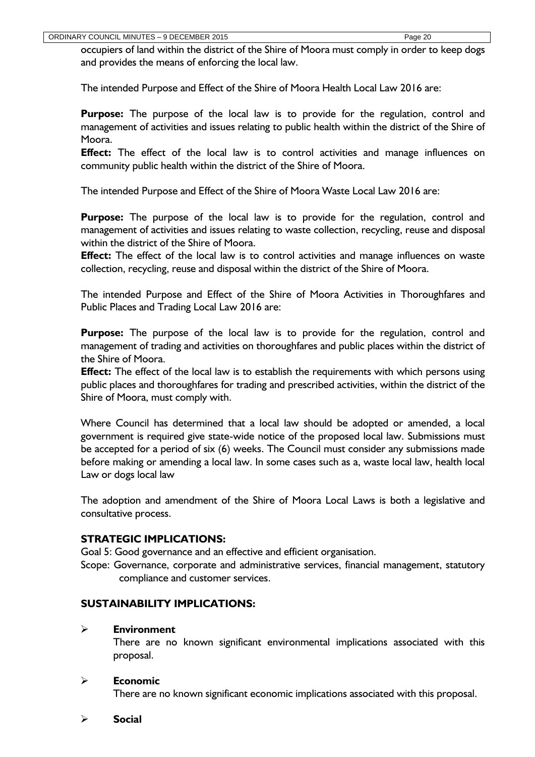occupiers of land within the district of the Shire of Moora must comply in order to keep dogs and provides the means of enforcing the local law.

The intended Purpose and Effect of the Shire of Moora Health Local Law 2016 are:

**Purpose:** The purpose of the local law is to provide for the regulation, control and management of activities and issues relating to public health within the district of the Shire of Moora.

**Effect:** The effect of the local law is to control activities and manage influences on community public health within the district of the Shire of Moora.

The intended Purpose and Effect of the Shire of Moora Waste Local Law 2016 are:

**Purpose:** The purpose of the local law is to provide for the regulation, control and management of activities and issues relating to waste collection, recycling, reuse and disposal within the district of the Shire of Moora.

**Effect:** The effect of the local law is to control activities and manage influences on waste collection, recycling, reuse and disposal within the district of the Shire of Moora.

The intended Purpose and Effect of the Shire of Moora Activities in Thoroughfares and Public Places and Trading Local Law 2016 are:

**Purpose:** The purpose of the local law is to provide for the regulation, control and management of trading and activities on thoroughfares and public places within the district of the Shire of Moora.

**Effect:** The effect of the local law is to establish the requirements with which persons using public places and thoroughfares for trading and prescribed activities, within the district of the Shire of Moora, must comply with.

Where Council has determined that a local law should be adopted or amended, a local government is required give state-wide notice of the proposed local law. Submissions must be accepted for a period of six (6) weeks. The Council must consider any submissions made before making or amending a local law. In some cases such as a, waste local law, health local Law or dogs local law

The adoption and amendment of the Shire of Moora Local Laws is both a legislative and consultative process.

# **STRATEGIC IMPLICATIONS:**

Goal 5: Good governance and an effective and efficient organisation.

Scope: Governance, corporate and administrative services, financial management, statutory compliance and customer services.

#### **SUSTAINABILITY IMPLICATIONS:**

#### **Environment**

There are no known significant environmental implications associated with this proposal.

#### **Economic**

There are no known significant economic implications associated with this proposal.

**Social**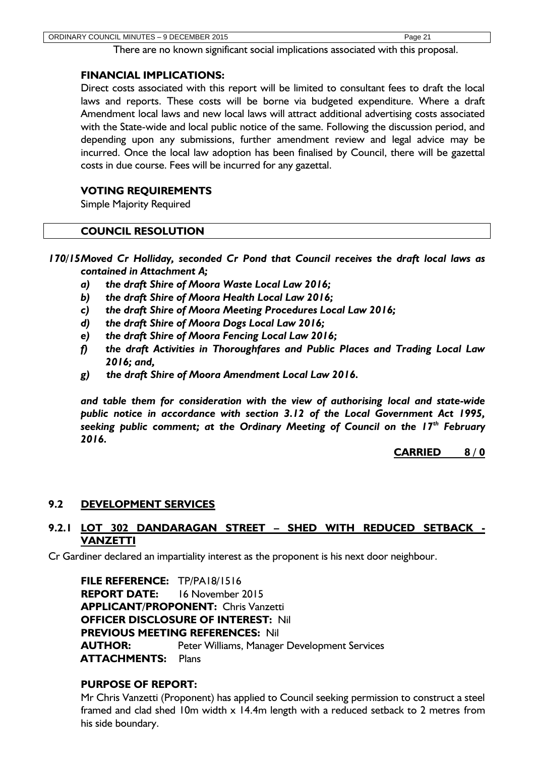There are no known significant social implications associated with this proposal.

#### **FINANCIAL IMPLICATIONS:**

Direct costs associated with this report will be limited to consultant fees to draft the local laws and reports. These costs will be borne via budgeted expenditure. Where a draft Amendment local laws and new local laws will attract additional advertising costs associated with the State-wide and local public notice of the same. Following the discussion period, and depending upon any submissions, further amendment review and legal advice may be incurred. Once the local law adoption has been finalised by Council, there will be gazettal costs in due course. Fees will be incurred for any gazettal.

# **VOTING REQUIREMENTS**

Simple Majority Required

# **COUNCIL RESOLUTION**

*170/15Moved Cr Holliday, seconded Cr Pond that Council receives the draft local laws as contained in Attachment A;*

- *a) the draft Shire of Moora Waste Local Law 2016;*
- *b) the draft Shire of Moora Health Local Law 2016;*
- *c) the draft Shire of Moora Meeting Procedures Local Law 2016;*
- *d) the draft Shire of Moora Dogs Local Law 2016;*
- *e) the draft Shire of Moora Fencing Local Law 2016;*
- *f) the draft Activities in Thoroughfares and Public Places and Trading Local Law 2016; and,*
- *g) the draft Shire of Moora Amendment Local Law 2016.*

*and table them for consideration with the view of authorising local and state-wide public notice in accordance with section 3.12 of the Local Government Act 1995, seeking public comment; at the Ordinary Meeting of Council on the 17th February 2016.*

**CARRIED 8 / 0**

#### <span id="page-21-0"></span>**9.2 DEVELOPMENT SERVICES**

# <span id="page-21-1"></span>**9.2.1 LOT 302 DANDARAGAN STREET – SHED WITH REDUCED SETBACK - VANZETTI**

Cr Gardiner declared an impartiality interest as the proponent is his next door neighbour.

**FILE REFERENCE:** TP/PA18/1516 **REPORT DATE:** 16 November 2015 **APPLICANT/PROPONENT:** Chris Vanzetti **OFFICER DISCLOSURE OF INTEREST:** Nil **PREVIOUS MEETING REFERENCES:** Nil **AUTHOR:** Peter Williams, Manager Development Services **ATTACHMENTS:** Plans

#### **PURPOSE OF REPORT:**

Mr Chris Vanzetti (Proponent) has applied to Council seeking permission to construct a steel framed and clad shed 10m width x 14.4m length with a reduced setback to 2 metres from his side boundary.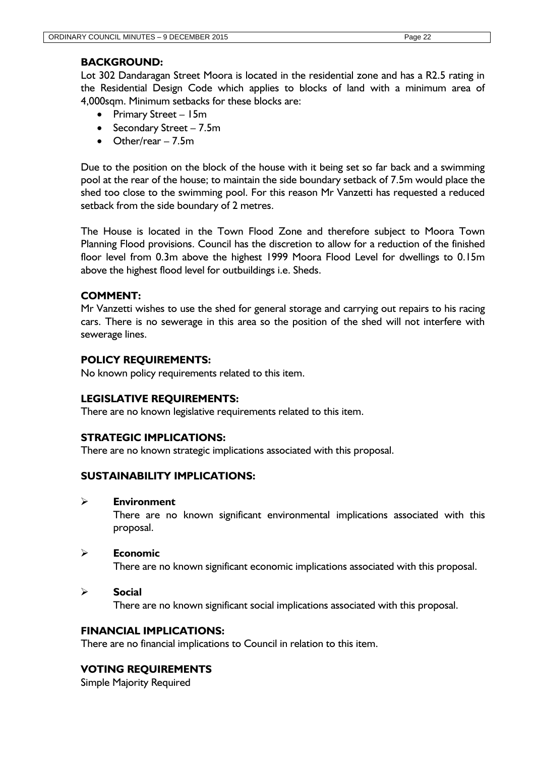# **BACKGROUND:**

Lot 302 Dandaragan Street Moora is located in the residential zone and has a R2.5 rating in the Residential Design Code which applies to blocks of land with a minimum area of 4,000sqm. Minimum setbacks for these blocks are:

- Primary Street 15m
- Secondary Street 7.5m
- Other/rear 7.5m

Due to the position on the block of the house with it being set so far back and a swimming pool at the rear of the house; to maintain the side boundary setback of 7.5m would place the shed too close to the swimming pool. For this reason Mr Vanzetti has requested a reduced setback from the side boundary of 2 metres.

The House is located in the Town Flood Zone and therefore subject to Moora Town Planning Flood provisions. Council has the discretion to allow for a reduction of the finished floor level from 0.3m above the highest 1999 Moora Flood Level for dwellings to 0.15m above the highest flood level for outbuildings i.e. Sheds.

# **COMMENT:**

Mr Vanzetti wishes to use the shed for general storage and carrying out repairs to his racing cars. There is no sewerage in this area so the position of the shed will not interfere with sewerage lines.

# **POLICY REQUIREMENTS:**

No known policy requirements related to this item.

#### **LEGISLATIVE REQUIREMENTS:**

There are no known legislative requirements related to this item.

#### **STRATEGIC IMPLICATIONS:**

There are no known strategic implications associated with this proposal.

# **SUSTAINABILITY IMPLICATIONS:**

#### **Environment**

There are no known significant environmental implications associated with this proposal.

#### **Economic**

There are no known significant economic implications associated with this proposal.

#### **Social**

There are no known significant social implications associated with this proposal.

#### **FINANCIAL IMPLICATIONS:**

There are no financial implications to Council in relation to this item.

#### **VOTING REQUIREMENTS**

Simple Majority Required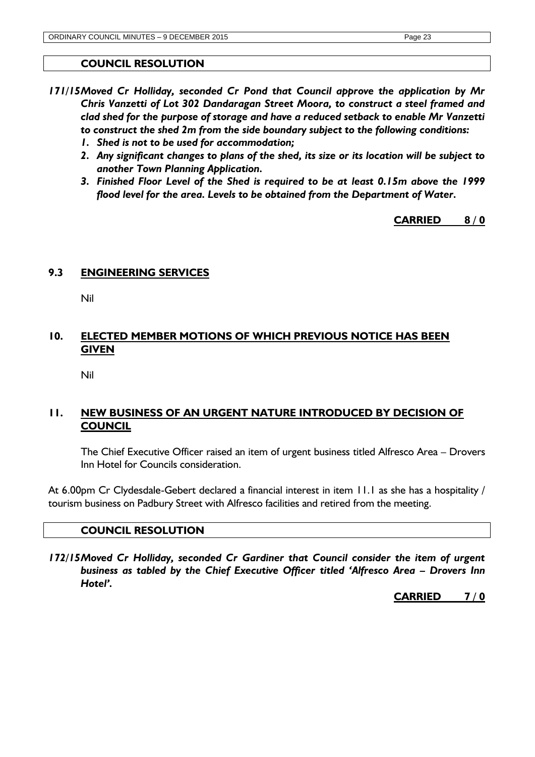#### **COUNCIL RESOLUTION**

- *171/15Moved Cr Holliday, seconded Cr Pond that Council approve the application by Mr Chris Vanzetti of Lot 302 Dandaragan Street Moora, to construct a steel framed and clad shed for the purpose of storage and have a reduced setback to enable Mr Vanzetti to construct the shed 2m from the side boundary subject to the following conditions:*
	- *1. Shed is not to be used for accommodation;*
	- *2. Any significant changes to plans of the shed, its size or its location will be subject to another Town Planning Application.*
	- *3. Finished Floor Level of the Shed is required to be at least 0.15m above the 1999 flood level for the area. Levels to be obtained from the Department of Water.*

# **CARRIED 8 / 0**

# <span id="page-23-0"></span>**9.3 ENGINEERING SERVICES**

Nil

# <span id="page-23-1"></span>**10. ELECTED MEMBER MOTIONS OF WHICH PREVIOUS NOTICE HAS BEEN GIVEN**

Nil

# <span id="page-23-2"></span>**11. NEW BUSINESS OF AN URGENT NATURE INTRODUCED BY DECISION OF COUNCIL**

The Chief Executive Officer raised an item of urgent business titled Alfresco Area – Drovers Inn Hotel for Councils consideration.

At 6.00pm Cr Clydesdale-Gebert declared a financial interest in item 11.1 as she has a hospitality / tourism business on Padbury Street with Alfresco facilities and retired from the meeting.

#### **COUNCIL RESOLUTION**

*172/15Moved Cr Holliday, seconded Cr Gardiner that Council consider the item of urgent business as tabled by the Chief Executive Officer titled 'Alfresco Area – Drovers Inn Hotel'.*

**CARRIED 7 / 0**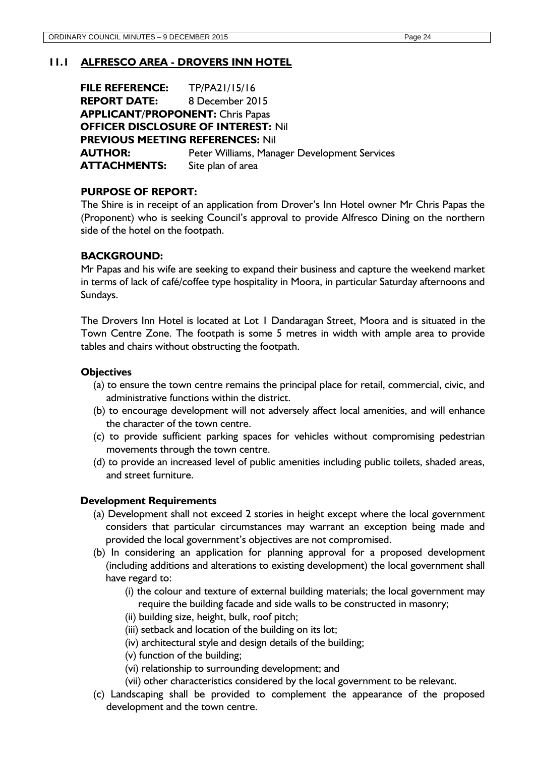# **11.1 ALFRESCO AREA - DROVERS INN HOTEL**

**FILE REFERENCE:** TP/PA21/15/16 **REPORT DATE:** 8 December 2015 **APPLICANT/PROPONENT:** Chris Papas **OFFICER DISCLOSURE OF INTEREST:** Nil **PREVIOUS MEETING REFERENCES:** Nil **AUTHOR:** Peter Williams, Manager Development Services **ATTACHMENTS:** Site plan of area

#### **PURPOSE OF REPORT:**

The Shire is in receipt of an application from Drover's Inn Hotel owner Mr Chris Papas the (Proponent) who is seeking Council's approval to provide Alfresco Dining on the northern side of the hotel on the footpath.

#### **BACKGROUND:**

Mr Papas and his wife are seeking to expand their business and capture the weekend market in terms of lack of café/coffee type hospitality in Moora, in particular Saturday afternoons and Sundays.

The Drovers Inn Hotel is located at Lot 1 Dandaragan Street, Moora and is situated in the Town Centre Zone. The footpath is some 5 metres in width with ample area to provide tables and chairs without obstructing the footpath.

#### **Objectives**

- (a) to ensure the town centre remains the principal place for retail, commercial, civic, and administrative functions within the district.
- (b) to encourage development will not adversely affect local amenities, and will enhance the character of the town centre.
- (c) to provide sufficient parking spaces for vehicles without compromising pedestrian movements through the town centre.
- (d) to provide an increased level of public amenities including public toilets, shaded areas, and street furniture.

#### **Development Requirements**

- (a) Development shall not exceed 2 stories in height except where the local government considers that particular circumstances may warrant an exception being made and provided the local government's objectives are not compromised.
- (b) In considering an application for planning approval for a proposed development (including additions and alterations to existing development) the local government shall have regard to:
	- (i) the colour and texture of external building materials; the local government may require the building facade and side walls to be constructed in masonry;
	- (ii) building size, height, bulk, roof pitch;
	- (iii) setback and location of the building on its lot;
	- (iv) architectural style and design details of the building;
	- (v) function of the building;
	- (vi) relationship to surrounding development; and
	- (vii) other characteristics considered by the local government to be relevant.
- (c) Landscaping shall be provided to complement the appearance of the proposed development and the town centre.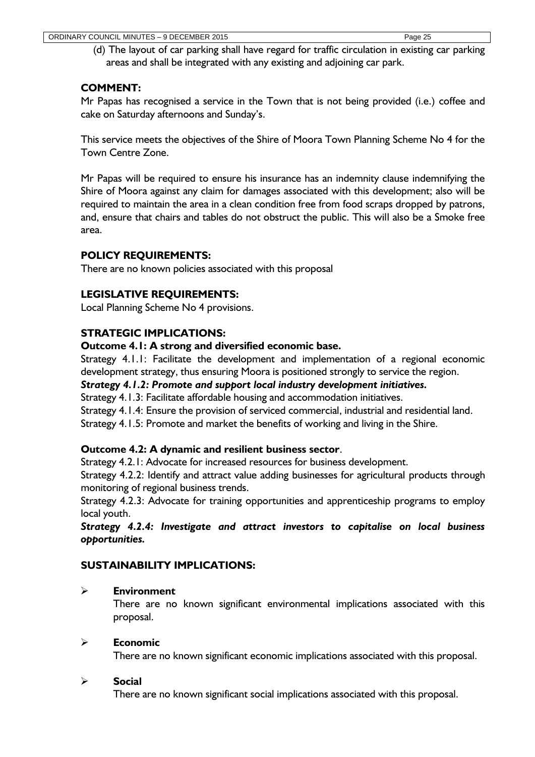(d) The layout of car parking shall have regard for traffic circulation in existing car parking areas and shall be integrated with any existing and adjoining car park.

# **COMMENT:**

Mr Papas has recognised a service in the Town that is not being provided (i.e.) coffee and cake on Saturday afternoons and Sunday's.

This service meets the objectives of the Shire of Moora Town Planning Scheme No 4 for the Town Centre Zone.

Mr Papas will be required to ensure his insurance has an indemnity clause indemnifying the Shire of Moora against any claim for damages associated with this development; also will be required to maintain the area in a clean condition free from food scraps dropped by patrons, and, ensure that chairs and tables do not obstruct the public. This will also be a Smoke free area.

# **POLICY REQUIREMENTS:**

There are no known policies associated with this proposal

# **LEGISLATIVE REQUIREMENTS:**

Local Planning Scheme No 4 provisions.

# **STRATEGIC IMPLICATIONS:**

# **Outcome 4.1: A strong and diversified economic base.**

Strategy 4.1.1: Facilitate the development and implementation of a regional economic development strategy, thus ensuring Moora is positioned strongly to service the region.

# *Strategy 4.1.2: Promote and support local industry development initiatives.*

Strategy 4.1.3: Facilitate affordable housing and accommodation initiatives.

Strategy 4.1.4: Ensure the provision of serviced commercial, industrial and residential land.

Strategy 4.1.5: Promote and market the benefits of working and living in the Shire.

# **Outcome 4.2: A dynamic and resilient business sector**.

Strategy 4.2.1: Advocate for increased resources for business development.

Strategy 4.2.2: Identify and attract value adding businesses for agricultural products through monitoring of regional business trends.

Strategy 4.2.3: Advocate for training opportunities and apprenticeship programs to employ local youth.

*Strategy 4.2.4: Investigate and attract investors to capitalise on local business opportunities.*

# **SUSTAINABILITY IMPLICATIONS:**

#### **Environment**

There are no known significant environmental implications associated with this proposal.

# **Economic**

There are no known significant economic implications associated with this proposal.

#### **Social**

There are no known significant social implications associated with this proposal.